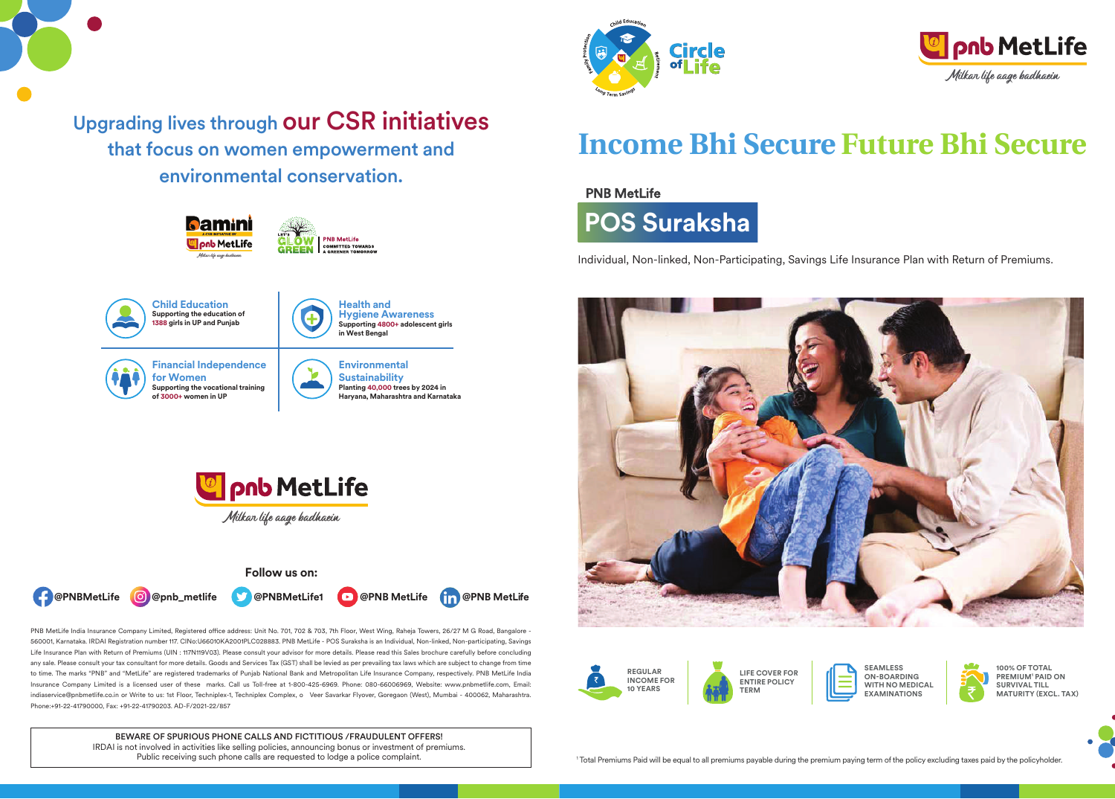









PNB MetLife India Insurance Company Limited, Registered office address: Unit No. 701, 702 & 703, 7th Floor, West Wing, Raheja Towers, 26/27 M G Road, Bangalore -560001, Karnataka. IRDAI Registration number 117. CINo:U66010KA2001PLC028883. PNB MetLife - POS Suraksha is an Individual, Non-linked, Non-participating, Savings Life Insurance Plan with Return of Premiums (UIN : 117N119V03). Please consult your advisor for more details. Please read this Sales brochure carefully before concluding any sale. Please consult your tax consultant for more details. Goods and Services Tax (GST) shall be levied as per prevailing tax laws which are subject to change from time to time. The marks "PNB" and "MetLife" are registered trademarks of Punjab National Bank and Metropolitan Life Insurance Company, respectively. PNB MetLife India Insurance Company Limited is a licensed user of these marks. Call us Toll-free at 1-800-425-6969. Phone: 080-66006969, Website: www.pnbmetlife.com, Email: indiaservice@pnbmetlife.co.in or Write to us: 1st Floor, Techniplex-1, Techniplex Complex, o Veer Savarkar Flyover, Goregaon (West), Mumbai - 400062, Maharashtra. Phone:+91-22-41790000, Fax: +91-22-41790203. AD-F/2021-22/857

> BEWARE OF SPURIOUS PHONE CALLS AND FICTITIOUS /FRAUDULENT OFFERS! IRDAI is not involved in activities like selling policies, announcing bonus or investment of premiums. Public receiving such phone calls are requested to lodge a police complaint.





# **Income Bhi Secure Future Bhi Secure**

## **PNB MetLife**



Individual, Non-linked, Non-Participating, Savings Life Insurance Plan with Return of Premiums.





**LIFE COVER FOR ENTIRE POLICY TERM**

**SEAMLESS ON-BOARDING WITH NO MEDICAL EXAMINATIONS**



**PREMIUM1 PAID ON SURVIVAL TILL MATURITY (EXCL. TAX)**

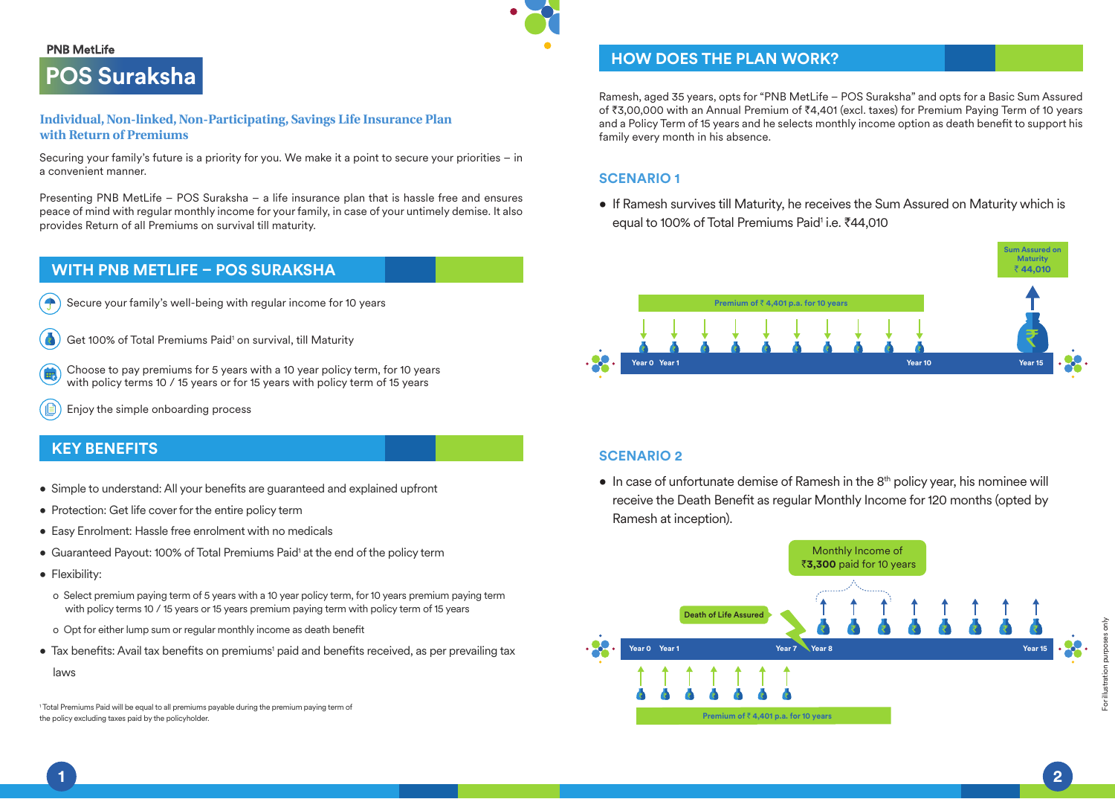#### **PNB MetLife**



#### **Individual, Non-linked, Non-Participating, Savings Life Insurance Plan with Return of Premiums**

Securing your family's future is a priority for you. We make it a point to secure your priorities – in a convenient manner.

Presenting PNB MetLife – POS Suraksha – a life insurance plan that is hassle free and ensures peace of mind with regular monthly income for your family, in case of your untimely demise. It also provides Return of all Premiums on survival till maturity.

# **WITH PNB METLIFE – POS SURAKSHA**



- Get 100% of Total Premiums Paid<sup>1</sup> on survival, till Maturity
- Choose to pay premiums for 5 years with a 10 year policy term, for 10 years with policy terms 10 / 15 years or for 15 years with policy term of 15 years
- Enjoy the simple onboarding process

# **KEY BENEFITS**

- Simple to understand: All your benefits are guaranteed and explained upfront
- Protection: Get life cover for the entire policy term
- Easy Enrolment: Hassle free enrolment with no medicals
- Guaranteed Payout: 100% of Total Premiums Paid<sup>1</sup> at the end of the policy term
- Flexibility:
	- o Select premium paying term of 5 years with a 10 year policy term, for 10 years premium paying term with policy terms 10 / 15 years or 15 years premium paying term with policy term of 15 years
	- o Opt for either lump sum or regular monthly income as death benefit
- Tax benefits: Avail tax benefits on premiums' paid and benefits received, as per prevailing tax

laws

1 Total Premiums Paid will be equal to all premiums payable during the premium paying term of the policy excluding taxes paid by the policyholder.

# **HOW DOES THE PLAN WORK?**

Ramesh, aged 35 years, opts for "PNB MetLife – POS Suraksha" and opts for a Basic Sum Assured of ₹3,00,000 with an Annual Premium of ₹4,401 (excl. taxes) for Premium Paying Term of 10 years and a Policy Term of 15 years and he selects monthly income option as death benefit to support his family every month in his absence.

# **SCENARIO 1**

• If Ramesh survives till Maturity, he receives the Sum Assured on Maturity which is equal to 100% of Total Premiums Paid<sup>1</sup> i.e. ₹44,010



# **SCENARIO 2**

• In case of unfortunate demise of Ramesh in the 8<sup>th</sup> policy year, his nominee will receive the Death Benefit as regular Monthly Income for 120 months (opted by Ramesh at inception).



For illustration purposes only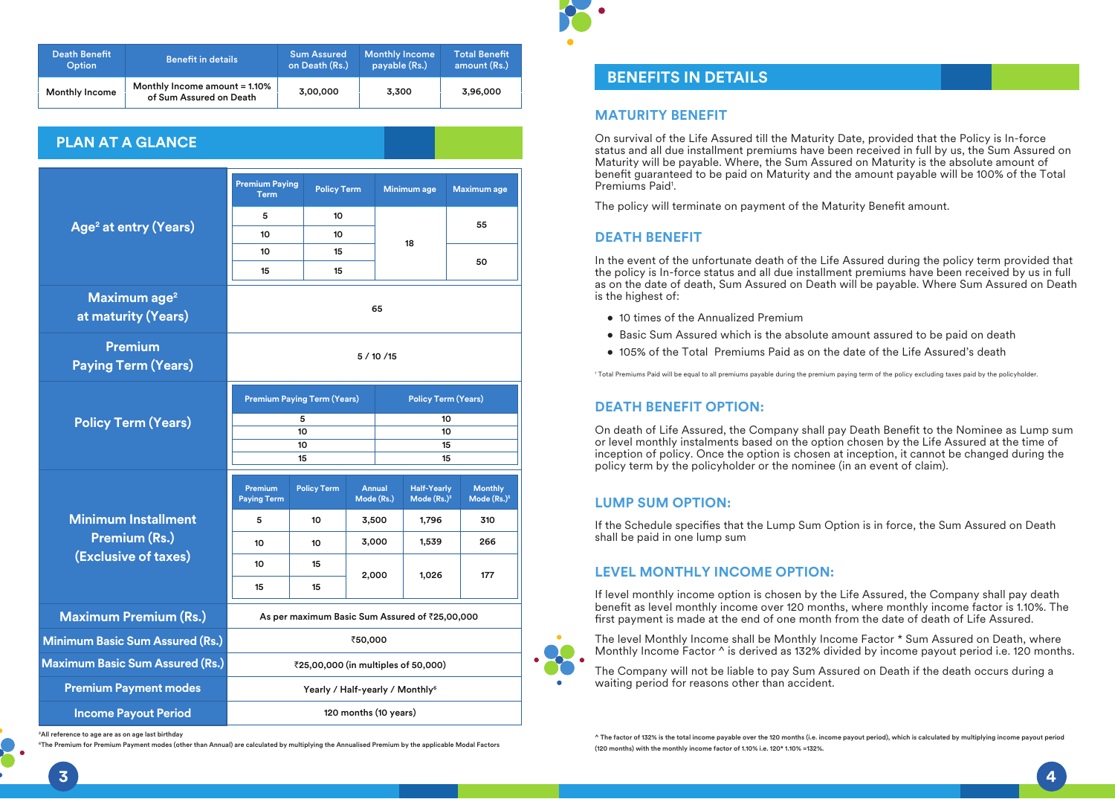| Death Benefit         | <b>Benefit in details</b>                                | <b>Sum Assured</b> | <b>Monthly Income</b> | <b>Total Benefit</b> |
|-----------------------|----------------------------------------------------------|--------------------|-----------------------|----------------------|
| <b>Option</b>         |                                                          | on Death (Rs.)     | payable (Rs.)         | amount (Rs.)         |
| <b>Monthly Income</b> | Monthly Income amount = 1.10%<br>of Sum Assured on Death | 3.00.000           | 3.300                 | 3,96,000             |

# **PLAN AT A GLANCE**

|                                                 | <b>Premium Paying</b><br><b>Term</b>           | <b>Policy Term</b> |  | Minimum age                 |                                     | <b>Maximum</b> age              |
|-------------------------------------------------|------------------------------------------------|--------------------|--|-----------------------------|-------------------------------------|---------------------------------|
|                                                 | 5                                              | 10                 |  |                             |                                     | 55                              |
| Age <sup>2</sup> at entry (Years)               | 10                                             | 10                 |  | 18                          |                                     |                                 |
|                                                 | 10                                             | 15                 |  |                             |                                     | 50                              |
|                                                 | 15                                             | 15                 |  |                             |                                     |                                 |
| Maximum age <sup>2</sup><br>at maturity (Years) | 65                                             |                    |  |                             |                                     |                                 |
| <b>Premium</b><br><b>Paying Term (Years)</b>    | 5/10/15                                        |                    |  |                             |                                     |                                 |
|                                                 | <b>Premium Paying Term (Years)</b>             |                    |  |                             | <b>Policy Term (Years)</b>          |                                 |
| <b>Policy Term (Years)</b>                      | 5<br>10                                        |                    |  | 10<br>10                    |                                     |                                 |
|                                                 | 10                                             |                    |  |                             | 15                                  |                                 |
|                                                 |                                                | 15                 |  |                             | 15                                  |                                 |
|                                                 | <b>Premium</b><br><b>Paying Term</b>           | <b>Policy Term</b> |  | <b>Annual</b><br>Mode (Rs.) | <b>Half-Yearly</b><br>Mode $(Rs.)3$ | <b>Monthly</b><br>Mode $(Rs.)3$ |
| <b>Minimum Installment</b>                      | 5                                              | 10                 |  | 3,500                       | 1,796                               | 310                             |
| <b>Premium (Rs.)</b>                            | 10                                             | 10                 |  | 3,000                       | 1,539                               | 266                             |
| (Exclusive of taxes)                            | 10                                             | 15                 |  |                             |                                     |                                 |
|                                                 | 15                                             | 15                 |  | 2,000                       | 1,026                               | 177                             |
| <b>Maximum Premium (Rs.)</b>                    | As per maximum Basic Sum Assured of ₹25,00,000 |                    |  |                             |                                     |                                 |
| <b>Minimum Basic Sum Assured (Rs.)</b>          | ₹50,000                                        |                    |  |                             |                                     |                                 |
| <b>Maximum Basic Sum Assured (Rs.)</b>          | ₹25,00,000 (in multiples of 50,000)            |                    |  |                             |                                     |                                 |
| <b>Premium Payment modes</b>                    | Yearly / Half-yearly / Monthly <sup>6</sup>    |                    |  |                             |                                     |                                 |
| <b>Income Payout Period</b>                     | 120 months (10 years)                          |                    |  |                             |                                     |                                 |
|                                                 |                                                |                    |  |                             |                                     |                                 |

<sup>2</sup> All reference to age are as on age last birthday

6The Premium for Premium Payment modes (other than Annual) are calculated by multiplying the Annualised Premium by the applicable Modal Factors

# **BENEFITS IN DETAILS**

#### **MATURITY BENEFIT**

On survival of the Life Assured till the Maturity Date, provided that the Policy is In-force status and all due installment premiums have been received in full by us, the Sum Assured on Maturity will be payable. Where, the Sum Assured on Maturity is the absolute amount of benefit guaranteed to be paid on Maturity and the amount payable will be 100% of the Total Premiums Paid<sup>1</sup>.

The policy will terminate on payment of the Maturity Benefit amount.

#### **DEATH BENEFIT**

In the event of the unfortunate death of the Life Assured during the policy term provided that the policy is In-force status and all due installment premiums have been received by us in full as on the date of death, Sum Assured on Death will be payable. Where Sum Assured on Death is the highest of:

- 10 times of the Annualized Premium
- Basic Sum Assured which is the absolute amount assured to be paid on death
- 105% of the Total Premiums Paid as on the date of the Life Assured's death

1 Total Premiums Paid will be equal to all premiums payable during the premium paying term of the policy excluding taxes paid by the policyholder.

#### **DEATH BENEFIT OPTION:**

On death of Life Assured, the Company shall pay Death Benefit to the Nominee as Lump sum or level monthly instalments based on the option chosen by the Life Assured at the time of inception of policy. Once the option is chosen at inception, it cannot be changed during the policy term by the policyholder or the nominee (in an event of claim).

#### **LUMP SUM OPTION:**

If the Schedule specifies that the Lump Sum Option is in force, the Sum Assured on Death shall be paid in one lump sum

#### **LEVEL MONTHLY INCOME OPTION:**

If level monthly income option is chosen by the Life Assured, the Company shall pay death benefit as level monthly income over 120 months, where monthly income factor is 1.10%. The first payment is made at the end of one month from the date of death of Life Assured.

The level Monthly Income shall be Monthly Income Factor \* Sum Assured on Death, where Monthly Income Factor ^ is derived as 132% divided by income payout period i.e. 120 months.

The Company will not be liable to pay Sum Assured on Death if the death occurs during a waiting period for reasons other than accident.

^ The factor of 132% is the total income payable over the 120 months (i.e. income payout period), which is calculated by multiplying income payout period (120 months) with the monthly income factor of 1.10% i.e. 120\* 1.10% =132%.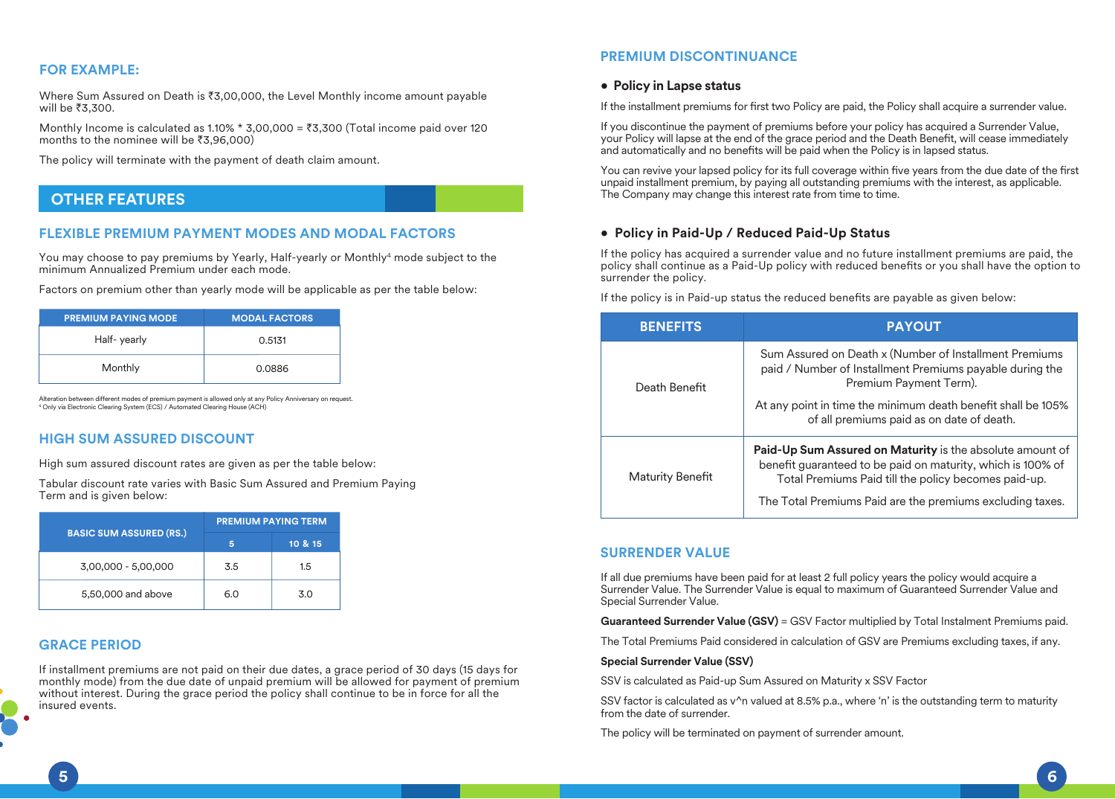## **FOR EXAMPLE:**

Where Sum Assured on Death is  $\overline{3,00,000}$ , the Level Monthly income amount payable will be  $\overline{3}3,300$ .

Monthly Income is calculated as 1.10%  $*$  3,00,000 = ₹3,300 (Total income paid over 120 months to the nominee will be  $\overline{3,96,000}$ 

The policy will terminate with the payment of death claim amount.

# **OTHER FEATURES**

#### **FLEXIBLE PREMIUM PAYMENT MODES AND MODAL FACTORS**

You may choose to pay premiums by Yearly, Half-yearly or Monthly<sup>4</sup> mode subject to the minimum Annualized Premium under each mode.

Factors on premium other than yearly mode will be applicable as per the table below:

| <b>PREMIUM PAYING MODE</b> | <b>MODAL FACTORS</b> |
|----------------------------|----------------------|
| Half-yearly                | 0.5131               |
| Monthly                    | 0.0886               |

Alteration between different modes of premium payment is allowed only at any Policy Anniversary on request. 4 Only via Electronic Clearing System (ECS) / Automated Clearing House (ACH)

## **HIGH SUM ASSURED DISCOUNT**

High sum assured discount rates are given as per the table below:

Tabular discount rate varies with Basic Sum Assured and Premium Paying Term and is given below:

|                                | <b>PREMIUM PAYING TERM</b> |         |  |
|--------------------------------|----------------------------|---------|--|
| <b>BASIC SUM ASSURED (RS.)</b> | 5                          | 10 & 15 |  |
| 3,00,000 - 5,00,000            | 3.5                        | 1.5     |  |
| 5,50,000 and above             | 6.0                        | 3.0     |  |

## **GRACE PERIOD**

If installment premiums are not paid on their due dates, a grace period of 30 days (15 days for monthly mode) from the due date of unpaid premium will be allowed for payment of premium without interest. During the grace period the policy shall continue to be in force for all the insured events.

## **PREMIUM DISCONTINUANCE**

#### **• Policy in Lapse status**

If the installment premiums for first two Policy are paid, the Policy shall acquire a surrender value.

If you discontinue the payment of premiums before your policy has acquired a Surrender Value, your Policy will lapse at the end of the grace period and the Death Benefit, will cease immediately and automatically and no benefits will be paid when the Policy is in lapsed status.

You can revive your lapsed policy for its full coverage within five years from the due date of the first unpaid installment premium, by paying all outstanding premiums with the interest, as applicable. The Company may change this interest rate from time to time.

## **• Policy in Paid-Up / Reduced Paid-Up Status**

If the policy has acquired a surrender value and no future installment premiums are paid, the policy shall continue as a Paid-Up policy with reduced benefits or you shall have the option to surrender the policy.

If the policy is in Paid-up status the reduced benefits are payable as given below:

| <b>BENEFITS</b>         | <b>PAYOUT</b>                                                                                                                                                                    |
|-------------------------|----------------------------------------------------------------------------------------------------------------------------------------------------------------------------------|
| Death Benefit           | Sum Assured on Death x (Number of Installment Premiums<br>paid / Number of Installment Premiums payable during the<br>Premium Payment Term).                                     |
|                         | At any point in time the minimum death benefit shall be 105%<br>of all premiums paid as on date of death.                                                                        |
| <b>Maturity Benefit</b> | Paid-Up Sum Assured on Maturity is the absolute amount of<br>benefit guaranteed to be paid on maturity, which is 100% of<br>Total Premiums Paid till the policy becomes paid-up. |
|                         | The Total Premiums Paid are the premiums excluding taxes.                                                                                                                        |

## **SURRENDER VALUE**

If all due premiums have been paid for at least 2 full policy years the policy would acquire a Surrender Value. The Surrender Value is equal to maximum of Guaranteed Surrender Value and Special Surrender Value.

**Guaranteed Surrender Value (GSV)** = GSV Factor multiplied by Total Instalment Premiums paid.

The Total Premiums Paid considered in calculation of GSV are Premiums excluding taxes, if any.

#### **Special Surrender Value (SSV)**

SSV is calculated as Paid-up Sum Assured on Maturity x SSV Factor

SSV factor is calculated as v<sup>o</sup>n valued at 8.5% p.a., where 'n' is the outstanding term to maturity from the date of surrender.

The policy will be terminated on payment of surrender amount.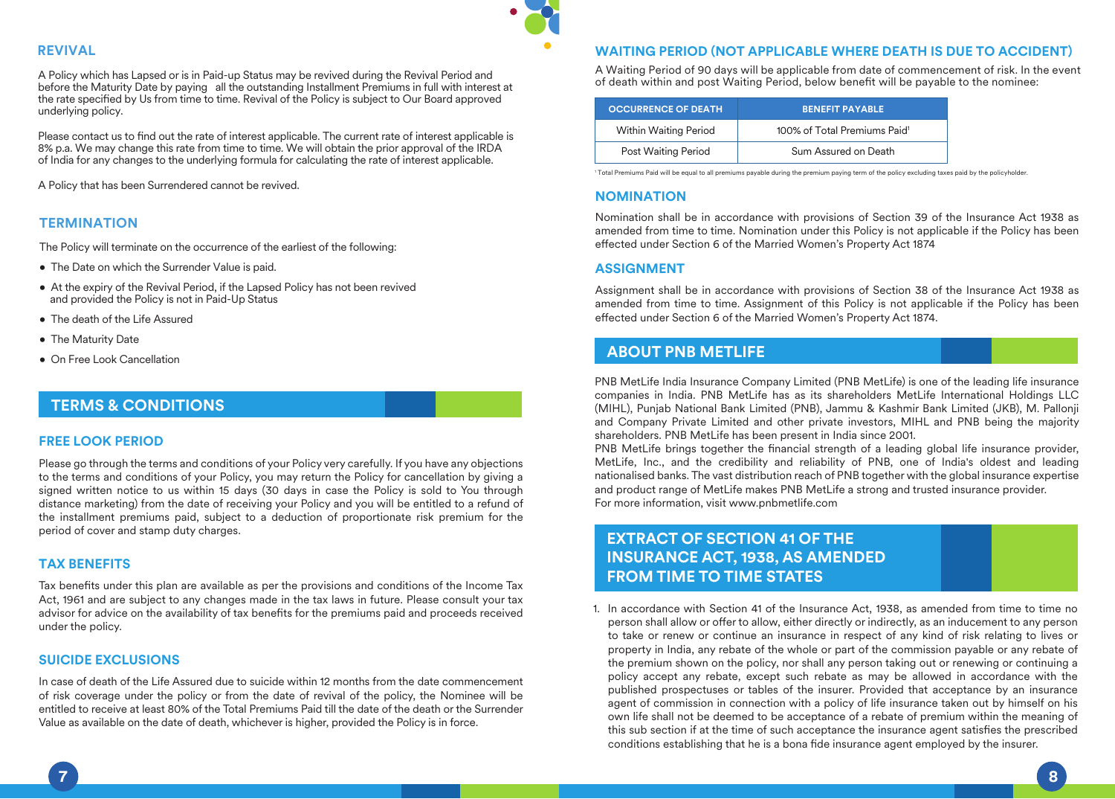

## **REVIVAL**

A Policy which has Lapsed or is in Paid-up Status may be revived during the Revival Period and before the Maturity Date by paying all the outstanding Installment Premiums in full with interest at the rate specified by Us from time to time. Revival of the Policy is subject to Our Board approved underlying policy.

Please contact us to find out the rate of interest applicable. The current rate of interest applicable is 8% p.a. We may change this rate from time to time. We will obtain the prior approval of the IRDA of India for any changes to the underlying formula for calculating the rate of interest applicable.

A Policy that has been Surrendered cannot be revived.

# **TERMINATION**

The Policy will terminate on the occurrence of the earliest of the following:

- The Date on which the Surrender Value is paid.
- At the expiry of the Revival Period, if the Lapsed Policy has not been revived and provided the Policy is not in Paid-Up Status
- The death of the Life Assured
- The Maturity Date
- On Free Look Cancellation

# **TERMS & CONDITIONS**

#### **FREE LOOK PERIOD**

Please go through the terms and conditions of your Policy very carefully. If you have any objections to the terms and conditions of your Policy, you may return the Policy for cancellation by giving a signed written notice to us within 15 days (30 days in case the Policy is sold to You through distance marketing) from the date of receiving your Policy and you will be entitled to a refund of the installment premiums paid, subject to a deduction of proportionate risk premium for the period of cover and stamp duty charges.

## **TAX BENEFITS**

Tax benefits under this plan are available as per the provisions and conditions of the Income Tax Act, 1961 and are subject to any changes made in the tax laws in future. Please consult your tax advisor for advice on the availability of tax benefits for the premiums paid and proceeds received under the policy.

#### **SUICIDE EXCLUSIONS**

In case of death of the Life Assured due to suicide within 12 months from the date commencement of risk coverage under the policy or from the date of revival of the policy, the Nominee will be entitled to receive at least 80% of the Total Premiums Paid till the date of the death or the Surrender Value as available on the date of death, whichever is higher, provided the Policy is in force.

## **WAITING PERIOD (NOT APPLICABLE WHERE DEATH IS DUE TO ACCIDENT)**

A Waiting Period of 90 days will be applicable from date of commencement of risk. In the event of death within and post Waiting Period, below benefit will be payable to the nominee:

| <b>OCCURRENCE OF DEATH</b> | <b>BENEFIT PAYABLE</b>                   |
|----------------------------|------------------------------------------|
| Within Waiting Period      | 100% of Total Premiums Paid <sup>1</sup> |
| Post Waiting Period        | Sum Assured on Death                     |

1 Total Premiums Paid will be equal to all premiums payable during the premium paying term of the policy excluding taxes paid by the policyholder.

## **NOMINATION**

Nomination shall be in accordance with provisions of Section 39 of the Insurance Act 1938 as amended from time to time. Nomination under this Policy is not applicable if the Policy has been effected under Section 6 of the Married Women's Property Act 1874

#### **ASSIGNMENT**

Assignment shall be in accordance with provisions of Section 38 of the Insurance Act 1938 as amended from time to time. Assignment of this Policy is not applicable if the Policy has been effected under Section 6 of the Married Women's Property Act 1874.

# **ABOUT PNB METLIFE**

PNB MetLife India Insurance Company Limited (PNB MetLife) is one of the leading life insurance companies in India. PNB MetLife has as its shareholders MetLife International Holdings LLC (MIHL), Punjab National Bank Limited (PNB), Jammu & Kashmir Bank Limited (JKB), M. Pallonji and Company Private Limited and other private investors, MIHL and PNB being the majority shareholders. PNB MetLife has been present in India since 2001.

PNB MetLife brings together the financial strength of a leading global life insurance provider, MetLife, Inc., and the credibility and reliability of PNB, one of India's oldest and leading nationalised banks. The vast distribution reach of PNB together with the global insurance expertise and product range of MetLife makes PNB MetLife a strong and trusted insurance provider. For more information, visit www.pnbmetlife.com

# **EXTRACT OF SECTION 41 OF THE INSURANCE ACT, 1938, AS AMENDED FROM TIME TO TIME STATES**

1. In accordance with Section 41 of the Insurance Act, 1938, as amended from time to time no person shall allow or offer to allow, either directly or indirectly, as an inducement to any person to take or renew or continue an insurance in respect of any kind of risk relating to lives or property in India, any rebate of the whole or part of the commission payable or any rebate of the premium shown on the policy, nor shall any person taking out or renewing or continuing a policy accept any rebate, except such rebate as may be allowed in accordance with the published prospectuses or tables of the insurer. Provided that acceptance by an insurance agent of commission in connection with a policy of life insurance taken out by himself on his own life shall not be deemed to be acceptance of a rebate of premium within the meaning of this sub section if at the time of such acceptance the insurance agent satisfies the prescribed conditions establishing that he is a bona fide insurance agent employed by the insurer.